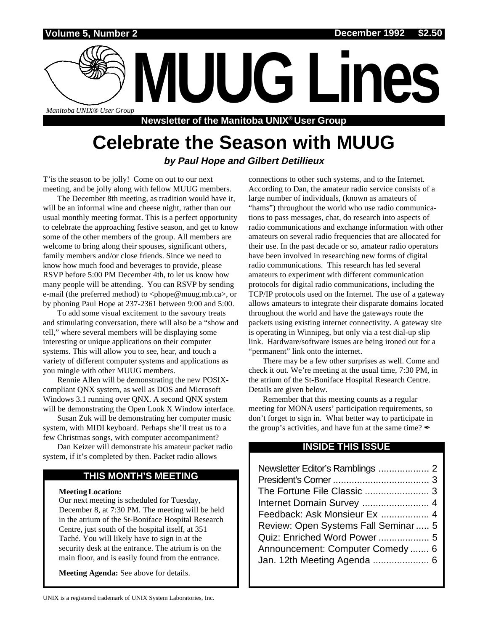

# **Celebrate the Season with MUUG by Paul Hope and Gilbert Detillieux**

T'is the season to be jolly! Come on out to our next meeting, and be jolly along with fellow MUUG members.

The December 8th meeting, as tradition would have it, will be an informal wine and cheese night, rather than our usual monthly meeting format. This is a perfect opportunity to celebrate the approaching festive season, and get to know some of the other members of the group. All members are welcome to bring along their spouses, significant others, family members and/or close friends. Since we need to know how much food and beverages to provide, please RSVP before 5:00 PM December 4th, to let us know how many people will be attending. You can RSVP by sending e-mail (the preferred method) to <phope@muug.mb.ca>, or by phoning Paul Hope at 237-2361 between 9:00 and 5:00.

To add some visual excitement to the savoury treats and stimulating conversation, there will also be a "show and tell," where several members will be displaying some interesting or unique applications on their computer systems. This will allow you to see, hear, and touch a variety of different computer systems and applications as you mingle with other MUUG members.

Rennie Allen will be demonstrating the new POSIXcompliant QNX system, as well as DOS and Microsoft Windows 3.1 running over QNX. A second QNX system will be demonstrating the Open Look X Window interface.

Susan Zuk will be demonstrating her computer music system, with MIDI keyboard. Perhaps she'll treat us to a few Christmas songs, with computer accompaniment?

Dan Keizer will demonstrate his amateur packet radio system, if it's completed by then. Packet radio allows

# **THIS MONTH'S MEETING**

#### **Meeting Location:**

Our next meeting is scheduled for Tuesday, December 8, at 7:30 PM. The meeting will be held in the atrium of the St-Boniface Hospital Research Centre, just south of the hospital itself, at 351 Taché. You will likely have to sign in at the security desk at the entrance. The atrium is on the main floor, and is easily found from the entrance.

**Meeting Agenda:** See above for details.

connections to other such systems, and to the Internet. According to Dan, the amateur radio service consists of a large number of individuals, (known as amateurs of "hams") throughout the world who use radio communications to pass messages, chat, do research into aspects of radio communications and exchange information with other amateurs on several radio frequencies that are allocated for their use. In the past decade or so, amateur radio operators have been involved in researching new forms of digital radio communications. This research has led several amateurs to experiment with different communication protocols for digital radio communications, including the TCP/IP protocols used on the Internet. The use of a gateway allows amateurs to integrate their disparate domains located throughout the world and have the gateways route the packets using existing internet connectivity. A gateway site is operating in Winnipeg, but only via a test dial-up slip link. Hardware/software issues are being ironed out for a "permanent" link onto the internet.

There may be a few other surprises as well. Come and check it out. We're meeting at the usual time, 7:30 PM, in the atrium of the St-Boniface Hospital Research Centre. Details are given below.

Remember that this meeting counts as a regular meeting for MONA users' participation requirements, so don't forget to sign in. What better way to participate in the group's activities, and have fun at the same time?  $\mathscr I$ 

### **INSIDE THIS ISSUE**

| Internet Domain Survey  4           |
|-------------------------------------|
| Feedback: Ask Monsieur Ex  4        |
| Review: Open Systems Fall Seminar 5 |
| Quiz: Enriched Word Power 5         |
| Announcement: Computer Comedy 6     |
| Jan. 12th Meeting Agenda  6         |
|                                     |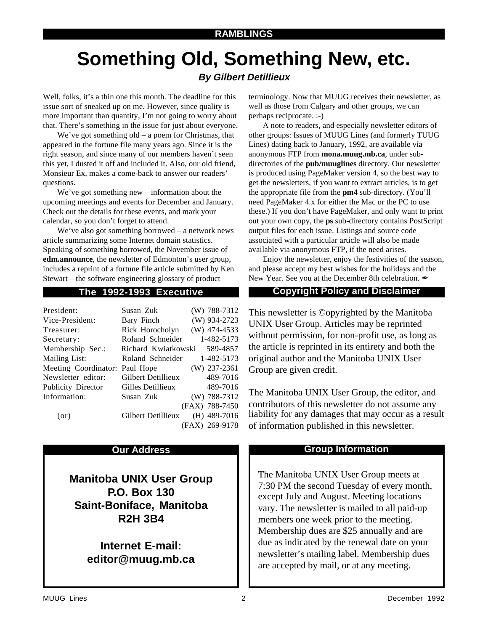# **Something Old, Something New, etc.**

# **By Gilbert Detillieux**

Well, folks, it's a thin one this month. The deadline for this issue sort of sneaked up on me. However, since quality is more important than quantity, I'm not going to worry about that. There's something in the issue for just about everyone.

We've got something old – a poem for Christmas, that appeared in the fortune file many years ago. Since it is the right season, and since many of our members haven't seen this yet, I dusted it off and included it. Also, our old friend, Monsieur Ex, makes a come-back to answer our readers' questions.

We've got something new – information about the upcoming meetings and events for December and January. Check out the details for these events, and mark your calendar, so you don't forget to attend.

We've also got something borrowed – a network news article summarizing some Internet domain statistics. Speaking of something borrowed, the November issue of **edm.announce**, the newsletter of Edmonton's user group, includes a reprint of a fortune file article submitted by Ken Stewart – the software engineering glossary of product

| President:                     | Susan Zuk                    | $(W)$ 788-7312 |
|--------------------------------|------------------------------|----------------|
| Vice-President:                | Bary Finch                   | (W) 934-2723   |
| Treasurer:                     | Rick Horocholyn              | (W) 474-4533   |
| Secretary:                     | Roland Schneider             | 1-482-5173     |
| Membership Sec.:               | Richard Kwiatkowski 589-4857 |                |
| Mailing List:                  | Roland Schneider             | 1-482-5173     |
| Meeting Coordinator: Paul Hope |                              | $(W)$ 237-2361 |
| Newsletter editor:             | Gilbert Detillieux           | 489-7016       |
| Publicity Director             | Gilles Detillieux            | 489-7016       |
| Information:                   | Susan Zuk                    | $(W)$ 788-7312 |
|                                |                              | (FAX) 788-7450 |
| (or)                           | Gilbert Detillieux           | $(H)$ 489-7016 |
|                                |                              | (FAX) 269-9178 |

**Manitoba UNIX User Group P.O. Box 130 Saint-Boniface, Manitoba R2H 3B4**

> **Internet E-mail: editor@muug.mb.ca**

terminology. Now that MUUG receives their newsletter, as well as those from Calgary and other groups, we can perhaps reciprocate. :-)

A note to readers, and especially newsletter editors of other groups: Issues of MUUG Lines (and formerly TUUG Lines) dating back to January, 1992, are available via anonymous FTP from **mona.muug.mb.ca**, under subdirectories of the **pub/muuglines** directory. Our newsletter is produced using PageMaker version 4, so the best way to get the newsletters, if you want to extract articles, is to get the appropriate file from the **pm4** sub-directory. (You'll need PageMaker 4.x for either the Mac or the PC to use these.) If you don't have PageMaker, and only want to print out your own copy, the **ps** sub-directory contains PostScript output files for each issue. Listings and source code associated with a particular article will also be made available via anonymous FTP, if the need arises.

Enjoy the newsletter, enjoy the festivities of the season, and please accept my best wishes for the holidays and the New Year. See you at the December 8th celebration.  $\mathscr I$ 

### **The 1992-1993 Executive Copyright Policy and Disclaimer**

This newsletter is ©opyrighted by the Manitoba UNIX User Group. Articles may be reprinted without permission, for non-profit use, as long as the article is reprinted in its entirety and both the original author and the Manitoba UNIX User Group are given credit.

The Manitoba UNIX User Group, the editor, and contributors of this newsletter do not assume any liability for any damages that may occur as a result of information published in this newsletter.

### **Our Address Community Community Community Community Community Community Community Community Community Community**

The Manitoba UNIX User Group meets at 7:30 PM the second Tuesday of every month, except July and August. Meeting locations vary. The newsletter is mailed to all paid-up members one week prior to the meeting. Membership dues are \$25 annually and are due as indicated by the renewal date on your newsletter's mailing label. Membership dues are accepted by mail, or at any meeting.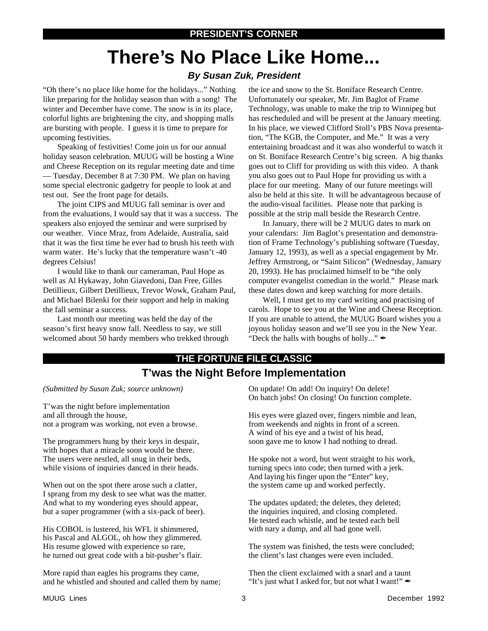# **There's No Place Like Home...**

### **By Susan Zuk, President**

"Oh there's no place like home for the holidays..." Nothing like preparing for the holiday season than with a song! The winter and December have come. The snow is in its place, colorful lights are brightening the city, and shopping malls are bursting with people. I guess it is time to prepare for upcoming festivities.

Speaking of festivities! Come join us for our annual holiday season celebration. MUUG will be hosting a Wine and Cheese Reception on its regular meeting date and time — Tuesday, December 8 at 7:30 PM. We plan on having some special electronic gadgetry for people to look at and test out. See the front page for details.

The joint CIPS and MUUG fall seminar is over and from the evaluations, I would say that it was a success. The speakers also enjoyed the seminar and were surprised by our weather. Vince Mraz, from Adelaide, Australia, said that it was the first time he ever had to brush his teeth with warm water. He's lucky that the temperature wasn't -40 degrees Celsius!

I would like to thank our cameraman, Paul Hope as well as Al Hykaway, John Giavedoni, Dan Free, Gilles Detillieux, Gilbert Detillieux, Trevor Wowk, Graham Paul, and Michael Bilenki for their support and help in making the fall seminar a success.

Last month our meeting was held the day of the season's first heavy snow fall. Needless to say, we still welcomed about 50 hardy members who trekked through the ice and snow to the St. Boniface Research Centre. Unfortunately our speaker, Mr. Jim Baglot of Frame Technology, was unable to make the trip to Winnipeg but has rescheduled and will be present at the January meeting. In his place, we viewed Clifford Stoll's PBS Nova presentation, "The KGB, the Computer, and Me." It was a very entertaining broadcast and it was also wonderful to watch it on St. Boniface Research Centre's big screen. A big thanks goes out to Cliff for providing us with this video. A thank you also goes out to Paul Hope for providing us with a place for our meeting. Many of our future meetings will also be held at this site. It will be advantageous because of the audio-visual facilities. Please note that parking is possible at the strip mall beside the Research Centre.

In January, there will be 2 MUUG dates to mark on your calendars: Jim Baglot's presentation and demonstration of Frame Technology's publishing software (Tuesday, January 12, 1993), as well as a special engagement by Mr. Jeffrey Armstrong, or "Saint Silicon" (Wednesday, January 20, 1993). He has proclaimed himself to be "the only computer evangelist comedian in the world." Please mark these dates down and keep watching for more details.

Well, I must get to my card writing and practising of carols. Hope to see you at the Wine and Cheese Reception. If you are unable to attend, the MUUG Board wishes you a joyous holiday season and we'll see you in the New Year. "Deck the halls with boughs of holly..."  $\mathscr{I}$ 

# **T'was the Night Before Implementation THE FORTUNE FILE CLASSIC**

*(Submitted by Susan Zuk; source unknown)*

T'was the night before implementation and all through the house, not a program was working, not even a browse.

The programmers hung by their keys in despair, with hopes that a miracle soon would be there. The users were nestled, all snug in their beds, while visions of inquiries danced in their heads.

When out on the spot there arose such a clatter, I sprang from my desk to see what was the matter. And what to my wondering eyes should appear, but a super programmer (with a six-pack of beer).

His COBOL is lustered, his WFL it shimmered, his Pascal and ALGOL, oh how they glimmered. His resume glowed with experience so rare, he turned out great code with a bit-pusher's flair.

More rapid than eagles his programs they came, and he whistled and shouted and called them by name;

On update! On add! On inquiry! On delete! On batch jobs! On closing! On function complete.

His eyes were glazed over, fingers nimble and lean, from weekends and nights in front of a screen. A wind of his eye and a twist of his head, soon gave me to know I had nothing to dread.

He spoke not a word, but went straight to his work, turning specs into code; then turned with a jerk. And laying his finger upon the "Enter" key, the system came up and worked perfectly.

The updates updated; the deletes, they deleted; the inquiries inquired, and closing completed. He tested each whistle, and he tested each bell with nary a dump, and all had gone well.

The system was finished, the tests were concluded; the client's last changes were even included.

Then the client exclaimed with a snarl and a taunt "It's just what I asked for, but not what I want!"  $\mathcal I$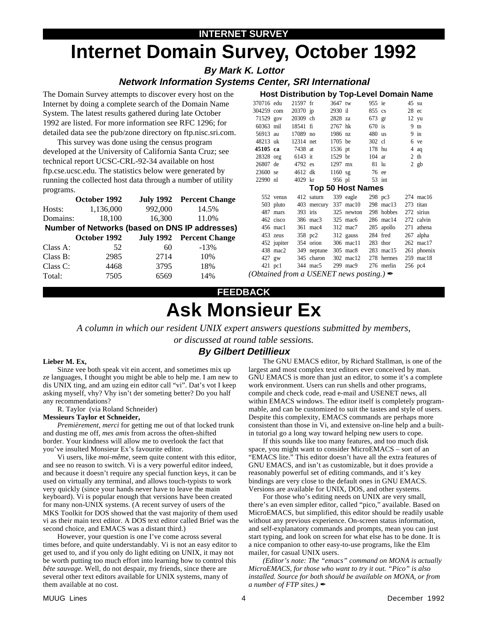# **Internet Domain Survey, October 1992**

**By Mark K. Lottor** 

# **Network Information Systems Center, SRI International**

The Domain Survey attempts to discover every host on the Internet by doing a complete search of the Domain Name System. The latest results gathered during late October 1992 are listed. For more information see RFC 1296; for detailed data see the pub/zone directory on ftp.nisc.sri.com.

This survey was done using the census program developed at the University of California Santa Cruz; see technical report UCSC-CRL-92-34 available on host ftp.cse.ucsc.edu. The statistics below were generated by running the collected host data through a number of utility programs.

|                                                | October 1992 |         | July 1992 Percent Change |  |  |  |
|------------------------------------------------|--------------|---------|--------------------------|--|--|--|
| Hosts:                                         | 1,136,000    | 992,000 | 14.5%                    |  |  |  |
| Domains:                                       | 18,100       | 16,300  | 11.0%                    |  |  |  |
| Number of Networks (based on DNS IP addresses) |              |         |                          |  |  |  |
|                                                | October 1992 |         | July 1992 Percent Change |  |  |  |
| Class A:                                       | 52           | 60      | $-13%$                   |  |  |  |
| Class B:                                       | 2985         | 2714    | 10%                      |  |  |  |
| Class C:                                       | 4468         | 3795    | 18%                      |  |  |  |
| Total:                                         | 7505         | 6569    | 14%                      |  |  |  |

| 370716 edu                          |           | 21597 fr  |                       | 3647 tw   |                       | 955 ie   |                       | 45 su          |                     |
|-------------------------------------|-----------|-----------|-----------------------|-----------|-----------------------|----------|-----------------------|----------------|---------------------|
| 304259 com                          |           | 20370 jp  |                       | 2930 il   |                       |          | 855 cs                | $28 \text{ec}$ |                     |
| 71529 gov                           |           | 20309 ch  |                       | 2828 za   |                       |          | 673 gr                |                | $12 \text{ yu}$     |
| 60363 mil                           |           | 18541 fi  |                       | 2767 hk   |                       | $670$ is |                       |                | $9 \text{ th}$      |
| 56913 au                            |           | 17089 no  |                       | 1986 nz   |                       | 480 us   |                       |                | $9$ in              |
| 48213 uk                            |           | 12314 net |                       |           | 1705 be               | 302 cl   |                       |                | 6 ve                |
| 45105 ca                            |           | 7438 at   |                       | 1536 pt   |                       | 178 hu   |                       |                | $4$ aq              |
| 28328 org                           |           | 6143 it   |                       | 1529 br   |                       | $104$ ar |                       |                | $2$ th              |
| 26807 de                            |           | 4792 es   |                       | $1297$ mx |                       | 81 lu    |                       |                | $2$ gb              |
| 23600 se                            |           | 4612 dk   |                       |           | $1160$ sg             | 76 ee    |                       |                |                     |
| 22990 nl                            |           | 4029 kr   |                       |           | 956 pl                |          | $53$ int              |                |                     |
| <b>Top 50 Host Names</b>            |           |           |                       |           |                       |          |                       |                |                     |
|                                     | 552 venus |           | 412 saturn            |           | 339 eagle             |          | 298 pc3               |                | $274 \text{ mac}16$ |
|                                     | 503 pluto |           |                       |           | 403 mercury 337 mac10 |          | 298 mac13             |                | 273 titan           |
|                                     | 487 mars  |           | $393$ iris            |           | 325 newton            |          | 298 hobbes 272 sirius |                |                     |
|                                     | 462 cisco |           | 386 mac3              |           | $325 \text{ mac6}$    |          | 286 mac14             |                | 272 calvin          |
|                                     | 456 mac1  |           | 361 mac4              |           | 312 mac7              |          | 285 apollo            |                | 271 athena          |
|                                     | 453 zeus  |           |                       |           | 358 pc2 312 gauss     |          | 284 fred              |                | 267 alpha           |
|                                     |           |           | 452 jupiter 354 orion |           | 306 mac11             |          | $283$ thor            |                | 262 mac17           |
|                                     | 438 mac2  |           |                       |           | 349 neptune 305 mac8  |          | 283 mac15             |                | 261 phoenix         |
|                                     | 427 gw    |           | 345 charon            |           | 302 mac12             |          | 278 hermes            |                | 259 mac18           |
|                                     | 421 pc1   |           | 344 mac5              |           | 299 mac9              |          | 276 merlin            |                | 256 pc4             |
| $\alpha$ $\alpha$ $\alpha$ $\alpha$ |           |           | <i>IICEMIET</i>       |           |                       |          | .                     |                |                     |

**Host Distribution by Top-Level Domain Name** 

(Obtained from a USENET news posting.)  $\blacktriangle$ 

### **FEEDBACK**

# **Ask Monsieur Ex**

A column in which our resident UNIX expert answers questions submitted by members, or discussed at round table sessions.

# **By Gilbert Detillieux**

#### Lieber M. Ex,

Sinze vee both speak vit ein accent, and sometimes mix up ze languages, I thought you might be able to help me. I am new to dis UNIX ting, and am uzing ein editor call "vi". Dat's vot I keep asking myself, vhy? Vhy isn't der someting better? Do you half any recommendations?

R. Taylor (via Roland Schneider)

#### **Messieurs Taylor et Schneider,**

Premièrement, merci for getting me out of that locked trunk and dusting me off, mes amis from across the often-shifted border. Your kindness will allow me to overlook the fact that you've insulted Monsieur Ex's favourite editor.

Vi users, like moi-même, seem quite content with this editor, and see no reason to switch. Vi is a very powerful editor indeed, and because it doesn't require any special function keys, it can be used on virtually any terminal, and allows touch-typists to work very quickly (since your hands never have to leave the main keyboard). Vi is popular enough that versions have been created for many non-UNIX systems. (A recent survey of users of the MKS Toolkit for DOS showed that the vast majority of them used vi as their main text editor. A DOS text editor called Brief was the second choice, and EMACS was a distant third.)

However, your question is one I've come across several times before, and quite understandably. Vi is not an easy editor to get used to, and if you only do light editing on UNIX, it may not be worth putting too much effort into learning how to control this bête sauvage. Well, do not despair, my friends, since there are several other text editors available for UNIX systems, many of them available at no cost.

The GNU EMACS editor, by Richard Stallman, is one of the largest and most complex text editors ever conceived by man. GNU EMACS is more than just an editor, to some it's a complete work environment. Users can run shells and other programs, compile and check code, read e-mail and USENET news, all within EMACS windows. The editor itself is completely programmable, and can be customized to suit the tastes and style of users. Despite this complexity, EMACS commands are perhaps more consistent than those in Vi, and extensive on-line help and a builtin tutorial go a long way toward helping new users to cope.

If this sounds like too many features, and too much disk space, you might want to consider MicroEMACS – sort of an "EMACS lite." This editor doesn't have all the extra features of GNU EMACS, and isn't as customizable, but it does provide a reasonably powerful set of editing commands, and it's key bindings are very close to the default ones in GNU EMACS. Versions are available for UNIX, DOS, and other systems.

For those who's editing needs on UNIX are very small, there's an even simpler editor, called "pico," available. Based on MicroEMACS, but simplified, this editor should be readily usable without any previous experience. On-screen status information, and self-explanatory commands and prompts, mean you can just start typing, and look on screen for what else has to be done. It is a nice companion to other easy-to-use programs, like the Elm mailer, for casual UNIX users.

(Editor's note: The "emacs" command on MONA is actually MicroEMACS, for those who want to try it out. "Pico" is also installed. Source for both should be available on MONA, or from a number of FTP sites.)  $\mathscr{L}$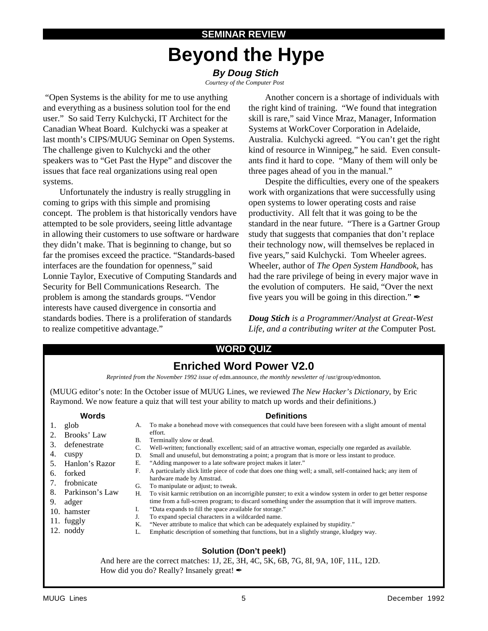# **SEMINAR REVIEW Beyond the Hype**

# **By Doug Stich**

 *Courtesy of the Computer Post*

 "Open Systems is the ability for me to use anything and everything as a business solution tool for the end user." So said Terry Kulchycki, IT Architect for the Canadian Wheat Board. Kulchycki was a speaker at last month's CIPS/MUUG Seminar on Open Systems. The challenge given to Kulchycki and the other speakers was to "Get Past the Hype" and discover the issues that face real organizations using real open systems.

 Unfortunately the industry is really struggling in coming to grips with this simple and promising concept. The problem is that historically vendors have attempted to be sole providers, seeing little advantage in allowing their customers to use software or hardware they didn't make. That is beginning to change, but so far the promises exceed the practice. "Standards-based interfaces are the foundation for openness," said Lonnie Taylor, Executive of Computing Standards and Security for Bell Communications Research. The problem is among the standards groups. "Vendor interests have caused divergence in consortia and standards bodies. There is a proliferation of standards to realize competitive advantage."

 Another concern is a shortage of individuals with the right kind of training. "We found that integration skill is rare," said Vince Mraz, Manager, Information Systems at WorkCover Corporation in Adelaide, Australia. Kulchycki agreed. "You can't get the right kind of resource in Winnipeg," he said. Even consultants find it hard to cope. "Many of them will only be three pages ahead of you in the manual."

 Despite the difficulties, every one of the speakers work with organizations that were successfully using open systems to lower operating costs and raise productivity. All felt that it was going to be the standard in the near future. "There is a Gartner Group study that suggests that companies that don't replace their technology now, will themselves be replaced in five years," said Kulchycki. Tom Wheeler agrees. Wheeler, author of *The Open System Handbook*, has had the rare privilege of being in every major wave in the evolution of computers. He said, "Over the next five years you will be going in this direction." $\mathcal{L}$ 

*Doug Stich is a Programmer/Analyst at Great-West Life, and a contributing writer at the* Computer Post*.*

# **WORD QUIZ**

# **Enriched Word Power V2.0**

*Reprinted from the November 1992 issue of* edm.announce*, the monthly newsletter of* /usr/group/edmonton*.*

(MUUG editor's note: In the October issue of MUUG Lines, we reviewed *The New Hacker's Dictionary*, by Eric Raymond. We now feature a quiz that will test your ability to match up words and their definitions.)

#### **Words**

- 1. glob
- 2. Brooks' Law
- 3. defenestrate
- 4. cuspy
- 5. Hanlon's Razor
- 6. forked
- 7. frobnicate
- 8. Parkinson's Law
- 9. adger
- 10. hamster
- 11. fuggly 12. noddy
- **Definitions**
- A. To make a bonehead move with consequences that could have been foreseen with a slight amount of mental effort.
- B. Terminally slow or dead.
- C. Well-written; functionally excellent; said of an attractive woman, especially one regarded as available.
- D. Small and unuseful, but demonstrating a point; a program that is more or less instant to produce.
- E. "Adding manpower to a late software project makes it later."
- F. A particularly slick little piece of code that does one thing well; a small, self-contained hack; any item of hardware made by Amstrad.
- G. To manipulate or adjust; to tweak.
- H. To visit karmic retribution on an incorrigible punster; to exit a window system in order to get better response time from a full-screen program; to discard something under the assumption that it will improve matters. I. "Data expands to fill the space available for storage."
- J. To expand special characters in a wildcarded name.
- K. "Never attribute to malice that which can be adequately explained by stupidity."
- L. Emphatic description of something that functions, but in a slightly strange, kludgey way.

### **Solution (Don't peek!)**

And here are the correct matches: 1J, 2E, 3H, 4C, 5K, 6B, 7G, 8I, 9A, 10F, 11L, 12D. How did you do? Really? Insanely great!